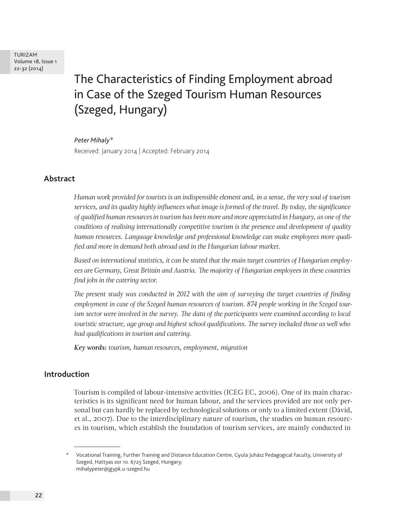TURIZAM Volume 18, Issue 1 22-32 (2014)

# The Characteristics of Finding Employment abroad in Case of the Szeged Tourism Human Resources (Szeged, Hungary)

#### *Peter Mihaly\**

Received: January 2014 | Accepted: February 2014

# **Abstract**

*Human work provided for tourists is an indispensible element and, in a sense, the very soul of tourism services, and its quality highly influences what image is formed of the travel. By today, the significance of qualified human resources in tourism has been more and more appreciated in Hungary, as one of the conditions of realising internationally competitive tourism is the presence and development of quality human resources. Language knowledge and professional knowledge can make employees more qualified and more in demand both abroad and in the Hungarian labour market.*

*Based on international statistics, it can be stated that the main target countries of Hungarian employees are Germany, Great Britain and Austria. The majority of Hungarian employees in these countries find jobs in the catering sector.*

*The present study was conducted in 2012 with the aim of surveying the target countries of finding employment in case of the Szeged human resources of tourism. 874 people working in the Szeged tourism sector were involved in the survey. The data of the participants were examined according to local touristic structure, age group and highest school qualifications. The survey included those as well who had qualifications in tourism and catering.*

*Key words: tourism, human resources, employment, migration*

# **Introduction**

Tourism is compiled of labour-intensive activities (ICEG EC, 2006). One of its main characteristics is its significant need for human labour, and the services provided are not only personal but can hardly be replaced by technological solutions or only to a limited extent (Dávid, et al., 2007). Due to the interdisciplinary nature of tourism, the studies on human resources in tourism, which establish the foundation of tourism services, are mainly conducted in

<sup>\*</sup> Vocational Training, Further Training and Distance Education Centre, Gyula Juhász Pedagogical Faculty, University of Szeged, Hattyas sor 10. 6725 Szeged, Hungary; mihalypeter@jgypk.u-szeged.hu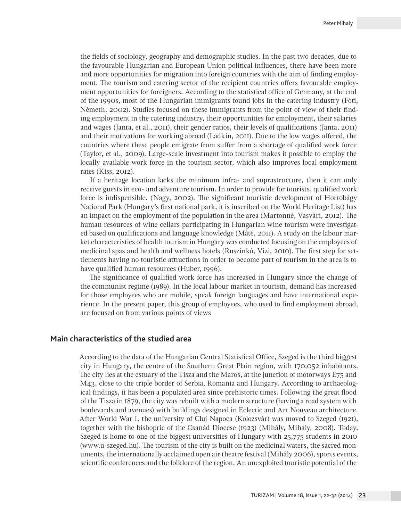the fields of sociology, geography and demographic studies. In the past two decades, due to the favourable Hungarian and European Union political influences, there have been more and more opportunities for migration into foreign countries with the aim of finding employment. The tourism and catering sector of the recipient countries offers favourable employment opportunities for foreigners. According to the statistical office of Germany, at the end of the 1990s, most of the Hungarian immigrants found jobs in the catering industry (Fóti, Németh, 2002). Studies focused on these immigrants from the point of view of their finding employment in the catering industry, their opportunities for employment, their salaries and wages (Janta, et al., 2011), their gender ratios, their levels of qualifications (Janta, 2011) and their motivations for working abroad (Ladkin, 2011). Due to the low wages offered, the countries where these people emigrate from suffer from a shortage of qualified work force (Taylor, et al., 2009). Large-scale investment into tourism makes it possible to employ the locally available work force in the tourism sector, which also improves local employment rates (Kiss, 2012).

If a heritage location lacks the minimum infra- and suprastructure, then it can only receive guests in eco- and adventure tourism. In order to provide for tourists, qualified work force is indispensible. (Nagy, 2002). The significant touristic development of Hortobágy National Park (Hungary's first national park, it is inscribed on the World Heritage List) has an impact on the employment of the population in the area (Martonné, Vasvári, 2012). The human resources of wine cellars participating in Hungarian wine tourism were investigated based on qualifications and language knowledge (Máté, 2011). A study on the labour market characteristics of health tourism in Hungary was conducted focusing on the employees of medicinal spas and health and wellness hotels (Ruszinkó, Vízi, 2010). The first step for settlements having no touristic attractions in order to become part of tourism in the area is to have qualified human resources (Huber, 1996).

The significance of qualified work force has increased in Hungary since the change of the communist regime (1989). In the local labour market in tourism, demand has increased for those employees who are mobile, speak foreign languages and have international experience. In the present paper, this group of employees, who used to find employment abroad, are focused on from various points of views

#### **Main characteristics of the studied area**

According to the data of the Hungarian Central Statistical Office, Szeged is the third biggest city in Hungary, the centre of the Southern Great Plain region, with 170,052 inhabitants. The city lies at the estuary of the Tisza and the Maros, at the junction of motorways E75 and M43, close to the triple border of Serbia, Romania and Hungary. According to archaeological findings, it has been a populated area since prehistoric times. Following the great flood of the Tisza in 1879, the city was rebuilt with a modern structure (having a road system with boulevards and avenues) with buildings designed in Eclectic and Art Nouveau architecture. After World War I, the university of Cluj Napoca (Kolozsvár) was moved to Szeged (1921), together with the bishopric of the Csanád Diocese (1923) (Mihály, Mihály, 2008). Today, Szeged is home to one of the biggest universities of Hungary with 25,775 students in 2010 (www.u-szeged.hu). The tourism of the city is built on the medicinal waters, the sacred monuments, the internationally acclaimed open air theatre festival (Mihály 2006), sports events, scientific conferences and the folklore of the region. An unexploited touristic potential of the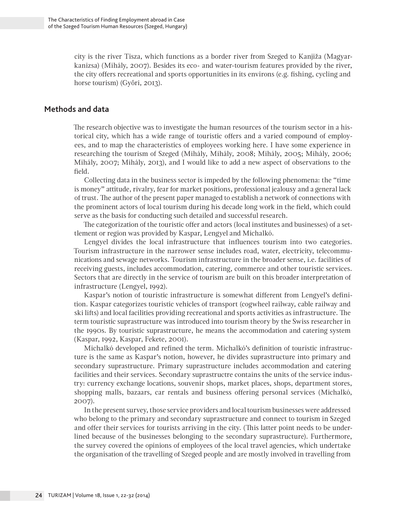city is the river Tisza, which functions as a border river from Szeged to Kanjiža (Magyarkanizsa) (Mihály, 2007). Besides its eco- and water-tourism features provided by the river, the city offers recreational and sports opportunities in its environs (e.g. fishing, cycling and horse tourism) (Győri, 2013).

# **Methods and data**

The research objective was to investigate the human resources of the tourism sector in a historical city, which has a wide range of touristic offers and a varied compound of employees, and to map the characteristics of employees working here. I have some experience in researching the tourism of Szeged (Mihály, Mihály, 2008; Mihály, 2005; Mihály, 2006; Mihály, 2007; Mihály, 2013), and I would like to add a new aspect of observations to the field.

Collecting data in the business sector is impeded by the following phenomena: the "time is money" attitude, rivalry, fear for market positions, professional jealousy and a general lack of trust. The author of the present paper managed to establish a network of connections with the prominent actors of local tourism during his decade long work in the field, which could serve as the basis for conducting such detailed and successful research.

The categorization of the touristic offer and actors (local institutes and businesses) of a settlement or region was provided by Kaspar, Lengyel and Michalkó.

Lengyel divides the local infrastructure that influences tourism into two categories. Tourism infrastructure in the narrower sense includes road, water, electricity, telecommunications and sewage networks. Tourism infrastructure in the broader sense, i.e. facilities of receiving guests, includes accommodation, catering, commerce and other touristic services. Sectors that are directly in the service of tourism are built on this broader interpretation of infrastructure (Lengyel, 1992).

Kaspar's notion of touristic infrastructure is somewhat different from Lengyel's definition. Kaspar categorizes touristic vehicles of transport (cogwheel railway, cable railway and ski lifts) and local facilities providing recreational and sports activities as infrastructure. The term touristic suprastructure was introduced into tourism theory by the Swiss researcher in the 1990s. By touristic suprastructure, he means the accommodation and catering system (Kaspar, 1992, Kaspar, Fekete, 2001).

Michalkó developed and refined the term. Michalkó's definition of touristic infrastructure is the same as Kaspar's notion, however, he divides suprastructure into primary and secondary suprastructure. Primary suprastructure includes accommodation and catering facilities and their services. Secondary suprastructre contains the units of the service industry: currency exchange locations, souvenir shops, market places, shops, department stores, shopping malls, bazaars, car rentals and business offering personal services (Michalkó, 2007).

In the present survey, those service providers and local tourism businesses were addressed who belong to the primary and secondary suprastructure and connect to tourism in Szeged and offer their services for tourists arriving in the city. (This latter point needs to be underlined because of the businesses belonging to the secondary suprastructure). Furthermore, the survey covered the opinions of employees of the local travel agencies, which undertake the organisation of the travelling of Szeged people and are mostly involved in travelling from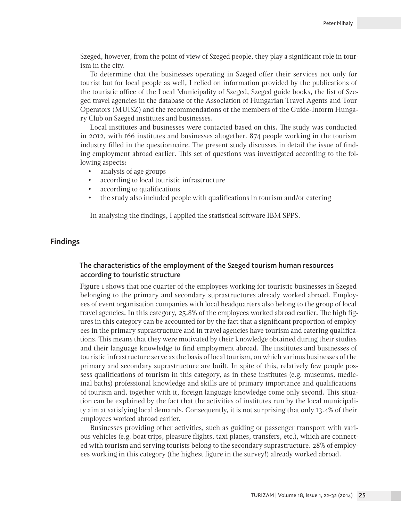Szeged, however, from the point of view of Szeged people, they play a significant role in tourism in the city.

To determine that the businesses operating in Szeged offer their services not only for tourist but for local people as well, I relied on information provided by the publications of the touristic office of the Local Municipality of Szeged, Szeged guide books, the list of Szeged travel agencies in the database of the Association of Hungarian Travel Agents and Tour Operators (MUISZ) and the recommendations of the members of the Guide-Inform Hungary Club on Szeged institutes and businesses.

Local institutes and businesses were contacted based on this. The study was conducted in 2012, with 166 institutes and businesses altogether. 874 people working in the tourism industry filled in the questionnaire. The present study discusses in detail the issue of finding employment abroad earlier. This set of questions was investigated according to the following aspects:

- analysis of age groups
- according to local touristic infrastructure
- according to qualifications
- the study also included people with qualifications in tourism and/or catering

In analysing the findings, I applied the statistical software IBM SPPS.

## **Findings**

# The characteristics of the employment of the Szeged tourism human resources according to touristic structure

Figure 1 shows that one quarter of the employees working for touristic businesses in Szeged belonging to the primary and secondary suprastructures already worked abroad. Employees of event organisation companies with local headquarters also belong to the group of local travel agencies. In this category, 25.8% of the employees worked abroad earlier. The high figures in this category can be accounted for by the fact that a significant proportion of employees in the primary suprastructure and in travel agencies have tourism and catering qualifications. This means that they were motivated by their knowledge obtained during their studies and their language knowledge to find employment abroad. The institutes and businesses of touristic infrastructure serve as the basis of local tourism, on which various businesses of the primary and secondary suprastructure are built. In spite of this, relatively few people possess qualifications of tourism in this category, as in these institutes (e.g. museums, medicinal baths) professional knowledge and skills are of primary importance and qualifications of tourism and, together with it, foreign language knowledge come only second. This situation can be explained by the fact that the activities of institutes run by the local municipality aim at satisfying local demands. Consequently, it is not surprising that only 13.4% of their employees worked abroad earlier.

Businesses providing other activities, such as guiding or passenger transport with various vehicles (e.g. boat trips, pleasure flights, taxi planes, transfers, etc.), which are connected with tourism and serving tourists belong to the secondary suprastructure. 28% of employees working in this category (the highest figure in the survey!) already worked abroad.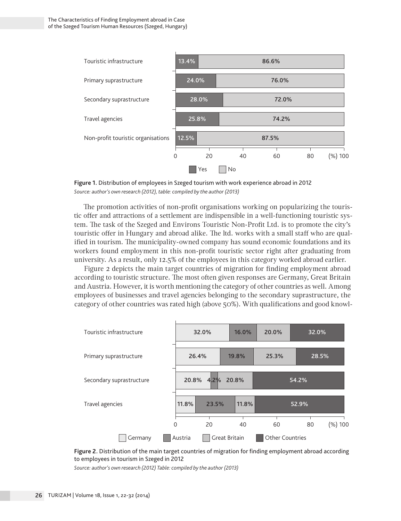

**Figure 1.** Distribution of employees in Szeged tourism with work experience abroad in 2012 *Source: author's own research (2012), table: compiled by the author (2013)*

The promotion activities of non-profit organisations working on popularizing the touristic offer and attractions of a settlement are indispensible in a well-functioning touristic system. The task of the Szeged and Environs Touristic Non-Profit Ltd. is to promote the city's touristic offer in Hungary and abroad alike. The ltd. works with a small staff who are qualified in tourism. The municipality-owned company has sound economic foundations and its workers found employment in this non-profit touristic sector right after graduating from university. As a result, only 12.5% of the employees in this category worked abroad earlier.

Figure 2 depicts the main target countries of migration for finding employment abroad according to touristic structure. The most often given responses are Germany, Great Britain and Austria. However, it is worth mentioning the category of other countries as well. Among employees of businesses and travel agencies belonging to the secondary suprastructure, the category of other countries was rated high (above 50%). With qualifications and good knowl-



**Figure 2.** Distribution of the main target countries of migration for finding employment abroad according to employees in tourism in Szeged in 2012

*Source: author's own research (2012) Table: compiled by the author (2013)*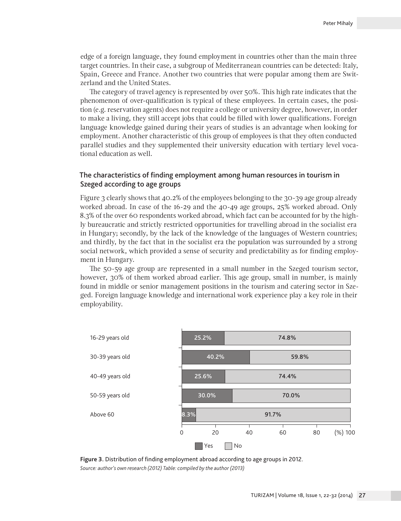edge of a foreign language, they found employment in countries other than the main three target countries. In their case, a subgroup of Mediterranean countries can be detected: Italy, Spain, Greece and France. Another two countries that were popular among them are Switzerland and the United States.

The category of travel agency is represented by over 50%. This high rate indicates that the phenomenon of over-qualification is typical of these employees. In certain cases, the position (e.g. reservation agents) does not require a college or university degree, however, in order to make a living, they still accept jobs that could be filled with lower qualifications. Foreign language knowledge gained during their years of studies is an advantage when looking for employment. Another characteristic of this group of employees is that they often conducted parallel studies and they supplemented their university education with tertiary level vocational education as well.

### The characteristics of finding employment among human resources in tourism in Szeged according to age groups

Figure 3 clearly shows that 40.2% of the employees belonging to the 30-39 age group already worked abroad. In case of the 16-29 and the 40-49 age groups, 25% worked abroad. Only 8.3% of the over 60 respondents worked abroad, which fact can be accounted for by the highly bureaucratic and strictly restricted opportunities for travelling abroad in the socialist era in Hungary; secondly, by the lack of the knowledge of the languages of Western countries; and thirdly, by the fact that in the socialist era the population was surrounded by a strong social network, which provided a sense of security and predictability as for finding employment in Hungary.

The 50-59 age group are represented in a small number in the Szeged tourism sector, however, 30% of them worked abroad earlier. This age group, small in number, is mainly found in middle or senior management positions in the tourism and catering sector in Szeged. Foreign language knowledge and international work experience play a key role in their employability.



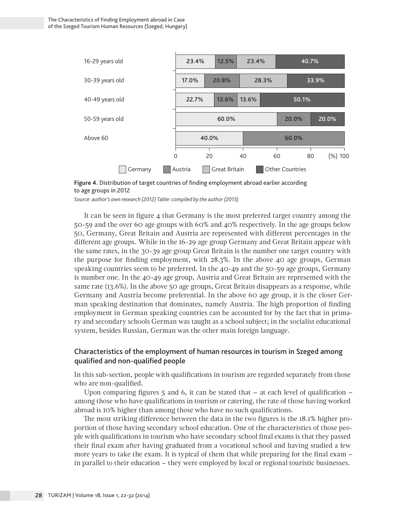

**Figure 4.** Distribution of target countries of finding employment abroad earlier according to age groups in 2012

*Source: author's own research (2012) Table: compiled by the author (2013)*

It can be seen in figure 4 that Germany is the most preferred target country among the 50-59 and the over 60 age groups with 60% and 40% respectively. In the age groups below 50, Germany, Great Britain and Austria are represented with different percentages in the different age groups. While in the 16-29 age group Germany and Great Britain appear with the same rates, in the 30-39 age group Great Britain is the number one target country with the purpose for finding employment, with 28.3%. In the above 40 age groups, German speaking countries seem to be preferred. In the 40-49 and the 50-59 age groups, Germany is number one. In the 40-49 age group, Austria and Great Britain are represented with the same rate (13.6%). In the above 50 age groups, Great Britain disappears as a response, while Germany and Austria become preferential. In the above 60 age group, it is the closer German speaking destination that dominates, namely Austria. The high proportion of finding employment in German speaking countries can be accounted for by the fact that in primary and secondary schools German was taught as a school subject; in the socialist educational system, besides Russian, German was the other main foreign language.

# Characteristics of the employment of human resources in tourism in Szeged among qualified and non-qualified people

In this sub-section, people with qualifications in tourism are regarded separately from those who are non-qualified.

Upon comparing figures  $5$  and 6, it can be stated that  $-$  at each level of qualification  $$ among those who have qualifications in tourism or catering, the rate of those having worked abroad is 10% higher than among those who have no such qualifications.

The most striking difference between the data in the two figures is the 18.1% higher proportion of those having secondary school education. One of the characteristics of those people with qualifications in tourism who have secondary school final exams is that they passed their final exam after having graduated from a vocational school and having studied a few more years to take the exam. It is typical of them that while preparing for the final exam – in parallel to their education – they were employed by local or regional touristic businesses.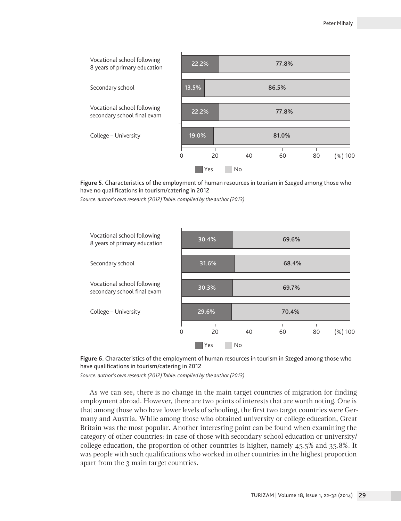

**Figure 5.** Characteristics of the employment of human resources in tourism in Szeged among those who have no qualifications in tourism/catering in 2012

*Source: author's own research (2012) Table: compiled by the author (2013)*





*Source: author's own research (2012) Table: compiled by the author (2013)*

As we can see, there is no change in the main target countries of migration for finding employment abroad. However, there are two points of interests that are worth noting. One is that among those who have lower levels of schooling, the first two target countries were Germany and Austria. While among those who obtained university or college education, Great Britain was the most popular. Another interesting point can be found when examining the category of other countries: in case of those with secondary school education or university/ college education, the proportion of other countries is higher, namely 45.5% and 35.8%. It was people with such qualifications who worked in other countries in the highest proportion apart from the 3 main target countries.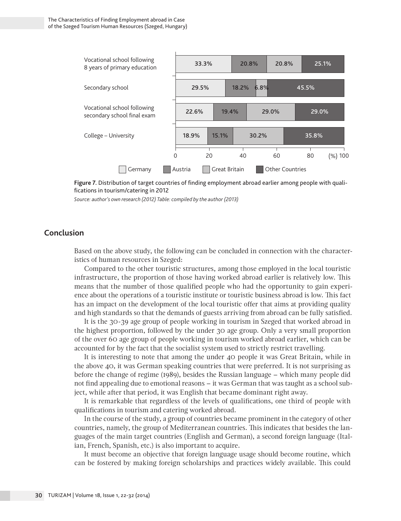

Figure 7. Distribution of target countries of finding employment abroad earlier among people with qualifications in tourism/catering in 2012

*Source: author's own research (2012) Table: compiled by the author (2013)*

# **Conclusion**

Based on the above study, the following can be concluded in connection with the characteristics of human resources in Szeged:

Compared to the other touristic structures, among those employed in the local touristic infrastructure, the proportion of those having worked abroad earlier is relatively low. This means that the number of those qualified people who had the opportunity to gain experience about the operations of a touristic institute or touristic business abroad is low. This fact has an impact on the development of the local touristic offer that aims at providing quality and high standards so that the demands of guests arriving from abroad can be fully satisfied.

It is the 30-39 age group of people working in tourism in Szeged that worked abroad in the highest proportion, followed by the under 30 age group. Only a very small proportion of the over 60 age group of people working in tourism worked abroad earlier, which can be accounted for by the fact that the socialist system used to strictly restrict travelling.

It is interesting to note that among the under 40 people it was Great Britain, while in the above 40, it was German speaking countries that were preferred. It is not surprising as before the change of regime (1989), besides the Russian language – which many people did not find appealing due to emotional reasons – it was German that was taught as a school subject, while after that period, it was English that became dominant right away.

It is remarkable that regardless of the levels of qualifications, one third of people with qualifications in tourism and catering worked abroad.

In the course of the study, a group of countries became prominent in the category of other countries, namely, the group of Mediterranean countries. This indicates that besides the languages of the main target countries (English and German), a second foreign language (Italian, French, Spanish, etc.) is also important to acquire.

It must become an objective that foreign language usage should become routine, which can be fostered by making foreign scholarships and practices widely available. This could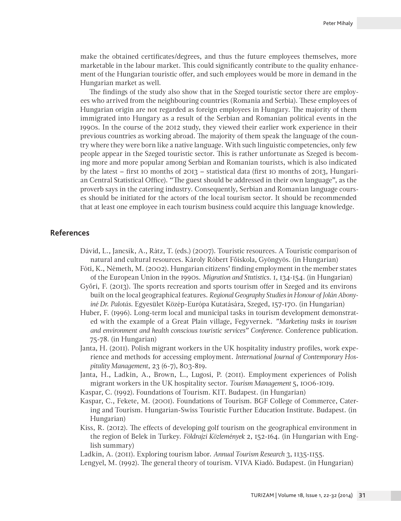make the obtained certificates/degrees, and thus the future employees themselves, more marketable in the labour market. This could significantly contribute to the quality enhancement of the Hungarian touristic offer, and such employees would be more in demand in the Hungarian market as well.

The findings of the study also show that in the Szeged touristic sector there are employees who arrived from the neighbouring countries (Romania and Serbia). These employees of Hungarian origin are not regarded as foreign employees in Hungary. The majority of them immigrated into Hungary as a result of the Serbian and Romanian political events in the 1990s. In the course of the 2012 study, they viewed their earlier work experience in their previous countries as working abroad. The majority of them speak the language of the country where they were born like a native language. With such linguistic competencies, only few people appear in the Szeged touristic sector. This is rather unfortunate as Szeged is becoming more and more popular among Serbian and Romanian tourists, which is also indicated by the latest – first 10 months of 2013 – statistical data (first 10 months of 2013, Hungarian Central Statistical Office). "The guest should be addressed in their own language", as the proverb says in the catering industry. Consequently, Serbian and Romanian language courses should be initiated for the actors of the local tourism sector. It should be recommended that at least one employee in each tourism business could acquire this language knowledge.

# **References**

- Dávid, L., Jancsik, A., Rátz, T. (eds.) (2007). Touristic resources. A Touristic comparison of natural and cultural resources. Károly Róbert Főiskola, Gyöngyös. (in Hungarian)
- Fóti, K., Németh, M. (2002). Hungarian citizens' finding employment in the member states of the European Union in the 1990s. *Migration and Statistics*. 1, 134-154. (in Hungarian)
- Győri, F. (2013). The sports recreation and sports tourism offer in Szeged and its environs built on the local geographical features. *Regional Geography Studies in Honour of Jolán Abonyiné Dr. Palotás*. Egyesület Közép-Európa Kutatására, Szeged, 157-170. (in Hungarian)
- Huber, F. (1996). Long-term local and municipal tasks in tourism development demonstrated with the example of a Great Plain village, Fegyvernek. *"Marketing tasks in tourism and environment and health conscious touristic services" Conference.* Conference publication. 75-78. (in Hungarian)
- Janta, H. (2011). Polish migrant workers in the UK hospitality industry profiles, work experience and methods for accessing employment. *International Journal of Contemporary Hospitality Management*, 23 (6-7), 803-819.
- Janta, H., Ladkin, A., Brown, L., Lugosi, P. (2011). Employment experiences of Polish migrant workers in the UK hospitality sector. *Tourism Management* 5, 1006-1019.
- Kaspar, C. (1992). Foundations of Tourism. KIT. Budapest. (in Hungarian)
- Kaspar, C., Fekete, M. (2001). Foundations of Tourism. BGF College of Commerce, Catering and Tourism. Hungarian-Swiss Touristic Further Education Institute. Budapest. (in Hungarian)
- Kiss, R. (2012). The effects of developing golf tourism on the geographical environment in the region of Belek in Turkey. *Földrajzi Közlemények* 2, 152-164. (in Hungarian with English summary)

Ladkin, A. (2011). Exploring tourism labor. *Annual Tourism Research* 3, 1135-1155.

Lengyel, M. (1992). The general theory of tourism. VIVA Kiadó. Budapest. (in Hungarian)